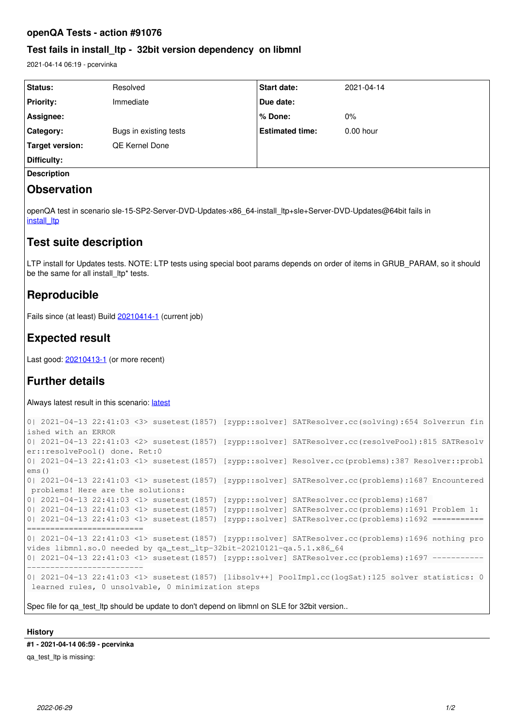### **openQA Tests - action #91076**

### **Test fails in install\_ltp - 32bit version dependency on libmnl**

2021-04-14 06:19 - pcervinka

| <b>Status:</b>     | Resolved               | <b>Start date:</b>     | 2021-04-14  |
|--------------------|------------------------|------------------------|-------------|
| <b>Priority:</b>   | Immediate              | Due date:              |             |
| Assignee:          |                        | % Done:                | $0\%$       |
| Category:          | Bugs in existing tests | <b>Estimated time:</b> | $0.00$ hour |
| Target version:    | QE Kernel Done         |                        |             |
| Difficulty:        |                        |                        |             |
| <b>Description</b> |                        |                        |             |

## **Observation**

openQA test in scenario sle-15-SP2-Server-DVD-Updates-x86\_64-install\_ltp+sle+Server-DVD-Updates@64bit fails in [install\\_ltp](https://openqa.suse.de/tests/5817862/modules/install_ltp/steps/55)

## **Test suite description**

LTP install for Updates tests. NOTE: LTP tests using special boot params depends on order of items in GRUB PARAM, so it should be the same for all install ltp\* tests.

## **Reproducible**

Fails since (at least) Build [20210414-1](https://openqa.suse.de/tests/5817862) (current job)

## **Expected result**

Last good: [20210413-1](https://openqa.suse.de/tests/5808704) (or more recent)

# **Further details**

Always [latest](https://openqa.suse.de/tests/latest?arch=x86_64&distri=sle&flavor=Server-DVD-Updates&machine=64bit&test=install_ltp%2Bsle%2BServer-DVD-Updates&version=15-SP2) result in this scenario: latest

```
0| 2021-04-13 22:41:03 <3> susetest(1857) [zypp::solver] SATResolver.cc(solving):654 Solverrun fin
ished with an ERROR
0| 2021-04-13 22:41:03 <2> susetest(1857) [zypp::solver] SATResolver.cc(resolvePool):815 SATResolv
er::resolvePool() done. Ret:0
0| 2021-04-13 22:41:03 <1> susetest(1857) [zypp::solver] Resolver.cc(problems):387 Resolver::probl
ems()
0| 2021-04-13 22:41:03 <1> susetest(1857) [zypp::solver] SATResolver.cc(problems):1687 Encountered
 problems! Here are the solutions:
0| 2021-04-13 22:41:03 <1> susetest(1857) [zypp::solver] SATResolver.cc(problems):1687 
0| 2021-04-13 22:41:03 <1> susetest(1857) [zypp::solver] SATResolver.cc(problems):1691 Problem 1:
0| 2021-04-13 22:41:03 <1> susetest(1857) [zypp::solver] SATResolver.cc(problems):1692 ============
=========================
0| 2021-04-13 22:41:03 <1> susetest(1857) [zypp::solver] SATResolver.cc(problems):1696 nothing pro
vides libmnl.so.0 needed by qa_test_ltp-32bit-20210121-qa.5.1.x86_64
0| 2021-04-13 22:41:03 <1> susetest(1857) [zypp::solver] SATResolver.cc(problems):1697 -----------
   -------------------------
0| 2021-04-13 22:41:03 <1> susetest(1857) [libsolv++] PoolImpl.cc(logSat):125 solver statistics: 0
 learned rules, 0 unsolvable, 0 minimization steps
```
Spec file for qa\_test\_ltp should be update to don't depend on libmnl on SLE for 32bit version..

## **History**

**#1 - 2021-04-14 06:59 - pcervinka**

qa\_test\_ltp is missing: